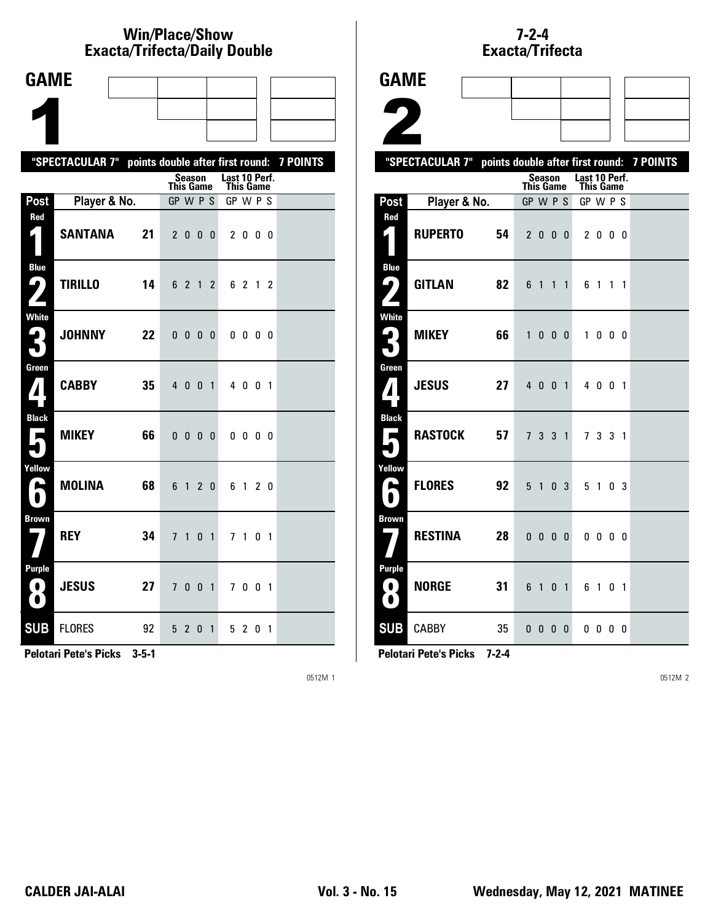### **Win/Place/Show Exacta/Trifecta/Daily Double**

| <b>GAME</b>                    |                                                           |    |                              |                |                |                |                       |                          |                |  |
|--------------------------------|-----------------------------------------------------------|----|------------------------------|----------------|----------------|----------------|-----------------------|--------------------------|----------------|--|
|                                |                                                           |    |                              |                |                |                |                       |                          |                |  |
|                                |                                                           |    |                              |                |                |                |                       |                          |                |  |
|                                |                                                           |    |                              |                |                |                |                       |                          |                |  |
|                                | "SPECTACULAR 7" points double after first round: 7 POINTS |    |                              | <b>Season</b>  |                |                | Last 10 Perf.         |                          |                |  |
| Post                           | Player & No.                                              |    | <b>This Game</b><br>GP W P S |                |                |                | This Game<br>GP W P S |                          |                |  |
| Red                            |                                                           |    |                              |                |                |                |                       |                          |                |  |
| $\zeta$                        | <b>SANTANA</b>                                            | 21 |                              | 2000           |                |                |                       | 2000                     |                |  |
| <b>Blue</b><br>91              | <b>TIRILLO</b>                                            | 14 |                              | 6 2 1 2        |                |                |                       | 6 2 1 2                  |                |  |
|                                |                                                           |    |                              |                |                |                |                       |                          |                |  |
| <b>White</b><br>2<br>$\bullet$ | <b>JOHNNY</b>                                             | 22 | 0 <sub>0</sub>               |                | 0 <sub>0</sub> |                |                       | $0\,0\,0\,0$             |                |  |
| Green                          |                                                           |    |                              |                |                |                |                       |                          |                |  |
|                                | <b>CABBY</b>                                              | 35 |                              | 4 0 0          |                | $\overline{1}$ |                       | 4001                     |                |  |
| <b>Black</b><br>Е              | <b>MIKEY</b>                                              | 66 |                              | $0\quad 0$     | 0 <sub>0</sub> |                |                       | $0\quad 0\quad 0\quad 0$ |                |  |
|                                |                                                           |    |                              |                |                |                |                       |                          |                |  |
| Yellow<br>p.                   | MOLINA                                                    | 68 | 6                            | $\mathbf{1}$   | 2 <sub>0</sub> |                | 6                     | $\overline{1}$           | 2 <sub>0</sub> |  |
|                                |                                                           |    |                              |                |                |                |                       |                          |                |  |
| <b>Brown</b>                   | <b>REY</b>                                                | 34 | $\overline{1}$               | 1              | 0              | $\mathbf{1}$   |                       | 7 1 0 1                  |                |  |
| <b>Purple</b>                  |                                                           |    |                              |                |                |                |                       |                          |                |  |
| $\bullet$<br>$\bullet$         | <b>JESUS</b>                                              | 27 |                              | 7 <sub>0</sub> | $\mathbf 0$    | $\overline{1}$ |                       | 7001                     |                |  |
| <b>SUB</b>                     | <b>FLORES</b>                                             | 92 |                              | 5 2 0 1        |                |                |                       | 5 2                      | 0 <sub>1</sub> |  |

**Pelotari Pete's Picks 3-5-1**

0512M 1

## **7-2-4** Exacta/Trifecta

| <b>GAME</b>              |                 |                 |                  |                          |                |                |                                   |              |                |                |                                           |
|--------------------------|-----------------|-----------------|------------------|--------------------------|----------------|----------------|-----------------------------------|--------------|----------------|----------------|-------------------------------------------|
|                          |                 |                 |                  |                          |                |                |                                   |              |                |                |                                           |
|                          |                 |                 |                  |                          |                |                |                                   |              |                |                |                                           |
|                          |                 |                 |                  |                          |                |                |                                   |              |                |                |                                           |
|                          | "SPECTACULAR 7" |                 |                  |                          |                |                |                                   |              |                |                | points double after first round: 7 POINTS |
|                          |                 |                 | <b>This Game</b> | <b>Season</b>            |                |                | Last 10 Perf.<br><b>This Game</b> |              |                |                |                                           |
| Post                     | Player & No.    |                 | GP W P S         |                          |                |                | GP W P S                          |              |                |                |                                           |
| Red                      | <b>RUPERTO</b>  | 54              |                  | 2 <sub>0</sub>           | $\mathbf{0}$   | $\mathbf{0}$   |                                   | 2 0 0 0      |                |                |                                           |
| Blue<br>91               | <b>GITLAN</b>   | 82              |                  | 6 1                      | $1\quad1$      |                |                                   | 61           | $1\quad1$      |                |                                           |
| <b>White</b>             | <b>MIKEY</b>    | 66              |                  | 1000                     |                |                |                                   | 1000         |                |                |                                           |
| Green                    | <b>JESUS</b>    | 27              |                  | 4 0 0 1                  |                |                |                                   | 4 0 0 1      |                |                |                                           |
| <b>Black</b>             | RASTOCK         | 57              | 7 <sup>7</sup>   | 3                        | $\overline{3}$ | $\overline{1}$ |                                   | 7 3 3 1      |                |                |                                           |
| Yellow                   | <b>FLORES</b>   | 92              |                  | 5 <sub>1</sub>           |                | 0 <sup>3</sup> |                                   | 5 1          |                | 0 <sup>3</sup> |                                           |
| <b>Brown</b>             | <b>RESTINA</b>  | 28              |                  | $0\quad 0\quad 0\quad 0$ |                |                |                                   | $0\ 0\ 0\ 0$ |                |                |                                           |
| Purple<br>0<br>$\bullet$ | <b>NORGE</b>    | 31              | 6 1              |                          | 0              | $\overline{1}$ |                                   | 6 1          | 0 <sub>1</sub> |                |                                           |
| <b>SUB</b>               | <b>CABBY</b>    | 35 <sub>5</sub> |                  | $0\quad 0\quad 0\quad 0$ |                |                |                                   | $0\,0\,0\,0$ |                |                |                                           |

**Pelotari Pete's Picks 7-2-4**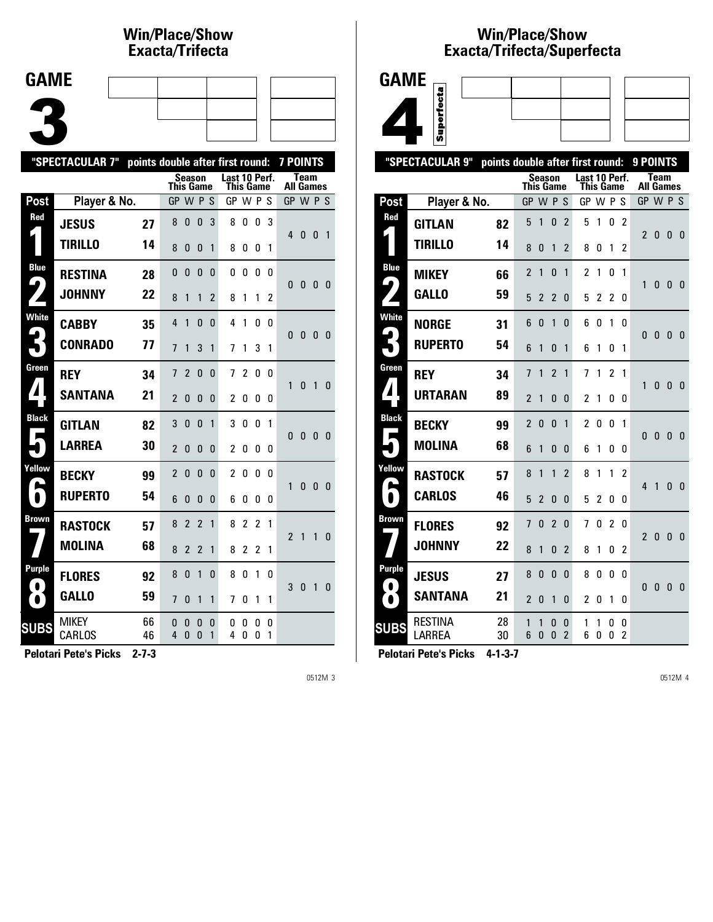#### **Win/Place/Show Exacta/Tri fecta**

| <b>GAME</b> |  |  |     |
|-------------|--|--|-----|
|             |  |  |     |
|             |  |  |     |
|             |  |  | ___ |

|                     | "SPECTACULAR 7"        | points double after first round: |                  |                   |                              |          |                                   |                   |                   |        | 7 POINTS         |              |              |                |
|---------------------|------------------------|----------------------------------|------------------|-------------------|------------------------------|----------|-----------------------------------|-------------------|-------------------|--------|------------------|--------------|--------------|----------------|
|                     |                        |                                  | <b>This Game</b> | Season            |                              |          | Last 10 Perf.<br><b>This Game</b> |                   |                   |        | <b>All Games</b> | <b>Team</b>  |              |                |
| Post                | Player & No.           |                                  | GP.              |                   | <b>WPS</b>                   |          | GP W P S                          |                   |                   |        | GP W P S         |              |              |                |
| Red                 | <b>JESUS</b>           | 27                               | 8                | 0                 | $\mathbf{0}$                 | 3        | 8                                 | 0                 | 0                 | 3      | 4                | 0            | 0            | $\overline{1}$ |
|                     | <b>TIRILLO</b>         | 14                               | 8                | 0                 | $\mathbf{0}$                 | 1        | 8                                 | 0                 | 0                 | 1      |                  |              |              |                |
| <b>Blue</b><br>9    | <b>RESTINA</b>         | 28                               | 0                | 0                 | $\mathbf{0}$                 | 0        | 0                                 | 0                 | 0                 | 0      | 0                | 0            | $\mathbf{0}$ | 0              |
|                     | <b>JOHNNY</b>          | 22                               | 8                | 1                 | 1                            | 2        | 8                                 | 1                 | 1                 | 2      |                  |              |              |                |
| <b>White</b>        | <b>CABBY</b>           | 35                               | 4                | 1                 | $\mathbf{0}$                 | 0        | 4                                 | 1                 | 0                 | 0      | 0                | $\mathbf{0}$ | 0            | - 0            |
|                     | <b>CONRADO</b>         | 77                               | $\overline{7}$   | 1                 | 3                            | 1        | 7                                 | 1                 | 3                 | 1      |                  |              |              |                |
| Green               | <b>REY</b>             | 34                               | 7                | $\overline{2}$    | $\mathbf{0}$                 | $\Omega$ | 7                                 | $\overline{2}$    | 0                 | 0      | 1                | 0            | 1            | $\mathbf{0}$   |
| ◢                   | <b>SANTANA</b>         | 21                               | $\overline{2}$   | $\Omega$          | 0                            | 0        | $\overline{c}$                    | 0                 | 0                 | 0      |                  |              |              |                |
| <b>Black</b>        | <b>GITLAN</b>          | 82                               | 3                | $\Omega$          | $\Omega$                     | 1        | 3                                 | $\mathbf{0}$      | $\Omega$          | 1      | $\Omega$         | $\mathbf{0}$ | 0            | 0              |
|                     | <b>LARREA</b>          | 30                               | $\overline{2}$   | 0                 | 0                            | 0        | 2                                 | 0                 | 0                 | 0      |                  |              |              |                |
| Yellow<br>A         | <b>BECKY</b>           | 99                               | $\overline{2}$   | 0                 | 0                            | 0        | 2                                 | 0                 | 0                 | 0      | 1                | $\mathbf{0}$ | $\Omega$     | $\mathbf{0}$   |
| $\blacksquare$      | <b>RUPERTO</b>         | 54                               | 6                | $\Omega$          | 0                            | 0        | 6                                 | 0                 | 0                 | 0      |                  |              |              |                |
| Brown               | <b>RASTOCK</b>         | 57                               | 8                | $\overline{2}$    | $\overline{2}$               | 1        | 8                                 | $\overline{c}$    | $\overline{c}$    | 1      | $\overline{2}$   | $\mathbf{1}$ | 1            | $\mathbf{0}$   |
|                     | <b>MOLINA</b>          | 68                               | 8                | $\overline{2}$    | $\overline{2}$               | 1        | 8                                 | $\overline{c}$    | 2                 | 1      |                  |              |              |                |
| Purple<br>$\bullet$ | <b>FLORES</b>          | 92                               | 8                | 0                 | 1                            | 0        | 8                                 | 0                 | 1                 | 0      | 3                | $\mathbf{0}$ | 1            | $\mathbf{0}$   |
| $\bullet$           | <b>GALLO</b>           | 59                               | $\overline{1}$   | 0                 | 1                            | 1        | 7                                 | 0                 | 1                 | 1      |                  |              |              |                |
| <b>SUBS</b>         | <b>MIKEY</b><br>CARLOS | 66<br>46                         | 0<br>4           | 0<br>$\mathbf{0}$ | $\mathbf{0}$<br>$\mathbf{0}$ | 0<br>1   | 0<br>4                            | 0<br>$\mathbf{0}$ | 0<br>$\mathbf{0}$ | 0<br>1 |                  |              |              |                |

**Pelotari Pete's Picks 2-7-3**

0512M 3

## **Win/Place/Show Exacta/Tri fecta/Super fecta**



|                            | "SPECTACULAR 9"                 | points double after first round: |                |                |            |                     |                                   |        |                |                | 9 POINTS         |      |              |   |
|----------------------------|---------------------------------|----------------------------------|----------------|----------------|------------|---------------------|-----------------------------------|--------|----------------|----------------|------------------|------|--------------|---|
|                            |                                 |                                  | This Game      | Season         |            |                     | Last 10 Perf.<br><b>This Game</b> |        |                |                | <b>All Games</b> | Team |              |   |
| Post                       | Player & No.                    |                                  | GP             |                | <b>WPS</b> |                     | GP W P S                          |        |                |                | GP W P S         |      |              |   |
| Red                        | GITLAN                          | 82                               | 5              | 1              | 0          | 2                   | 5                                 | 1      | 0              | 2              | $\overline{2}$   | 0    | $\mathbf{0}$ | 0 |
|                            | TIRILLO                         | 14                               | 8              | 0              | 1          | $\overline{2}$      | 8                                 | 0      | 1              | $\overline{2}$ |                  |      |              |   |
| <b>Blue</b>                | <b>MIKEY</b>                    | 66                               | $\overline{2}$ | 1              | 0          | 1                   | $\overline{c}$                    | 1      | 0              | 1              |                  |      | 0            | 0 |
| $\blacktriangleright$      | <b>GALLO</b>                    | 59                               | 5              | 2              | 2          | 0                   | 5                                 | 2      | 2              | 0              | 1                | 0    |              |   |
| <b>White</b>               | NORGE                           | 31                               | 6              | 0              | 1          | 0                   | 6                                 | 0      | 1              | 0              | 0                | 0    | 0            | 0 |
|                            | <b>RUPERTO</b>                  | 54                               | 6              | 1              | 0          | 1                   | 6                                 | 1      | 0              | 1              |                  |      |              |   |
| Green                      | <b>REY</b>                      | 34                               | 7              | 1              | 2          | 1                   | 7                                 | 1      | $\overline{2}$ | 1              | 1                | 0    | 0            | 0 |
| ◢                          | <b>URTARAN</b>                  | 89                               | 2              | 1              | 0          | 0                   | $\overline{2}$                    | 1      | 0              | 0              |                  |      |              |   |
| <b>Black</b><br>П          | <b>BECKY</b>                    | 99                               | $\overline{2}$ | $\Omega$       | $\Omega$   | 1                   | 2                                 | 0      | 0              | 1              | $\mathbf{0}$     | 0    | $\mathbf{0}$ | 0 |
|                            | <b>MOLINA</b>                   | 68                               | 6              | 1              | 0          | 0                   | 6                                 | 1      | 0              | 0              |                  |      |              |   |
| Yellow                     | RASTOCK                         | 57                               | 8              | 1              | 1          | 2                   | 8                                 | 1      | 1              | 2              | 4                | 1    | 0            | 0 |
| $\blacksquare$             | <b>CARLOS</b>                   | 46                               | 5              | $\overline{2}$ | 0          | 0                   | 5                                 | 2      | 0              | 0              |                  |      |              |   |
| <b>Brown</b>               | <b>FLORES</b>                   | 92                               | 7              | 0              | 2          | 0                   | 7                                 | 0      | 2              | 0              | 2                | 0    | 0            | 0 |
|                            | <b>JOHNNY</b>                   | 22                               | 8              | 1              | 0          | $\overline{2}$      | 8                                 | 1      | 0              | 2              |                  |      |              |   |
| <b>Purple</b><br>$\bullet$ | <b>JESUS</b>                    | 27                               | 8              | 0              | 0          | 0                   | 8                                 | 0      | 0              | 0              | 0                |      | $\mathbf{0}$ |   |
| $\bullet$                  | <b>SANTANA</b>                  | 21                               | $\overline{2}$ | 0              | 1          | 0                   | 2                                 | 0      | 1              | 0              |                  | 0    |              | 0 |
| <b>SUBS</b>                | <b>RESTINA</b><br><b>LARREA</b> | 28<br>30                         | 1<br>6         | 1<br>0         | 0<br>0     | 0<br>$\overline{2}$ | 1<br>6                            | 1<br>0 | 0<br>0         | 0<br>2         |                  |      |              |   |
|                            |                                 |                                  |                |                |            |                     |                                   |        |                |                |                  |      |              |   |

**Pelotari Pete's Picks 4-1-3-7**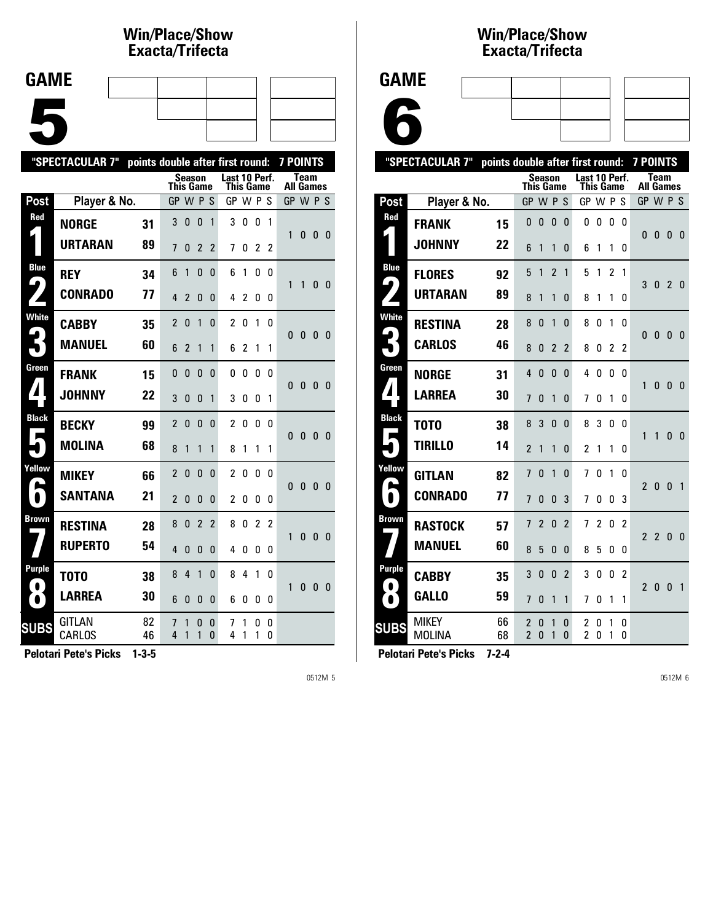#### **Win/Place/Show Exacta/Tri fecta**

| <b>GAME</b> |  |  |  |
|-------------|--|--|--|
|             |  |  |  |
|             |  |  |  |
|             |  |  |  |
|             |  |  |  |
|             |  |  |  |
|             |  |  |  |
|             |  |  |  |

|                            | "SPECTACULAR 7"         | points double after first round: |                  |                          |                |                |                            |                |          |        | <b>7 POINTS</b>  |              |              |                |
|----------------------------|-------------------------|----------------------------------|------------------|--------------------------|----------------|----------------|----------------------------|----------------|----------|--------|------------------|--------------|--------------|----------------|
|                            |                         |                                  | <b>This Game</b> | Season                   |                |                | Last 10 Perf.<br>This Game |                |          |        | <b>All Games</b> | <b>Team</b>  |              |                |
| Post                       | Player & No.            |                                  | <b>GP</b>        |                          | <b>WPS</b>     |                | GP W P S                   |                |          |        | GP W P S         |              |              |                |
| Red                        | <b>NORGE</b>            | 31                               | 3                | 0                        | $\bf{0}$       | 1              | 3                          | 0              | 0        | 1      |                  |              |              |                |
|                            | <b>URTARAN</b>          | 89                               | $\overline{1}$   | 0                        | $\overline{2}$ | $\overline{2}$ | 7                          | 0              | 2        | 2      | 1                | 0            | 0            | - 0            |
| <b>Blue</b>                | <b>REY</b>              | 34                               | 6                | 1                        | 0              | 0              | 6                          | 1              | 0        | 0      | 1                | 1            | 0            | $\mathbf{0}$   |
| 9                          | <b>CONRADO</b>          | 77                               | 4                | 2                        | 0              | 0              | 4                          | $\overline{c}$ | 0        | 0      |                  |              |              |                |
| <b>White</b>               | <b>CABBY</b>            | 35                               | 2                | 0                        | 1              | 0              | 2                          | 0              | 1        | 0      | 0                | $\bf{0}$     | 0            | - 0            |
|                            | <b>MANUEL</b>           | 60                               | 6                | $\overline{\phantom{a}}$ | 1              | 1              | 6                          | 2              | 1        | 1      |                  |              |              |                |
| Green                      | <b>FRANK</b>            | 15                               | $\mathbf{0}$     | 0                        | $\mathbf{0}$   | $\Omega$       | 0                          | $\mathbf{0}$   | $\Omega$ | U      | 0                | $\mathbf{0}$ | $\mathbf{0}$ | $\overline{0}$ |
| $\blacktriangle$           | <b>JOHNNY</b>           | 22                               | 3                | 0                        | $\Omega$       | 1              | 3                          | 0              | 0        | 1      |                  |              |              |                |
| <b>Black</b><br>Е          | <b>BECKY</b>            | 99                               | $\overline{2}$   | $\mathbf{0}$             | $\mathbf{0}$   | 0              | 2                          | 0              | 0        | 0      | $\Omega$         | $\mathbf{0}$ | $\mathbf{0}$ | - 0            |
|                            | <b>MOLINA</b>           | 68                               | 8                | 1                        | 1              | 1              | 8                          | 1              | 1        | 1      |                  |              |              |                |
| Yellow<br>E                | <b>MIKEY</b>            | 66                               | $\overline{2}$   | $\mathbf{0}$             | $\mathbf{0}$   | 0              | $\overline{2}$             | 0              | 0        | n      | 0                | $\bf{0}$     | $\mathbf{0}$ | $\mathbf{0}$   |
| $\bullet$                  | <b>SANTANA</b>          | 21                               | $\overline{2}$   | 0                        | 0              | 0              | $\overline{c}$             | 0              | 0        | 0      |                  |              |              |                |
| <b>Brown</b>               | <b>RESTINA</b>          | 28                               | 8                | 0                        | $\overline{2}$ | $\overline{2}$ | 8                          | O              | 2        | 2      | 1                | 0            | $\Omega$     | - 0            |
|                            | <b>RUPERTO</b>          | 54                               | 4                | $\Omega$                 | $\Omega$       | 0              | 4                          | 0              | 0        | 0      |                  |              |              |                |
| <b>Purple</b><br>$\bullet$ | T0T0                    | 38                               | 8                | 4                        | 1              | 0              | 8                          | 4              | 1        | 0      | 1                | 0            | $\mathbf{0}$ | 0              |
| $\bullet$                  | <b>LARREA</b>           | 30                               | 6                | 0                        | $\mathbf{0}$   | 0              | 6                          | 0              | 0        | 0      |                  |              |              |                |
| <b>SUBS</b>                | <b>GITLAN</b><br>CARLOS | 82<br>46                         | 7<br>4           | 1<br>1                   | 0<br>1         | 0<br>0         | 7<br>4                     | 1<br>1         | 0<br>1   | 0<br>0 |                  |              |              |                |

**Pelotari Pete's Picks 1-3-5**

0512M 5

#### **Win/Place/Show Exacta/Tri fecta**

6

| "SPECTACULAR 7"   | points double after first round: |          |                                            |        |                |                            | <b>7 POINTS</b> |        |               |                          |                |                |                |                |
|-------------------|----------------------------------|----------|--------------------------------------------|--------|----------------|----------------------------|-----------------|--------|---------------|--------------------------|----------------|----------------|----------------|----------------|
|                   |                                  |          | Season<br>This Game                        |        |                | Last 10 Perf.<br>This Game |                 |        |               | Team<br><b>All Games</b> |                |                |                |                |
| Post              | Player & No.                     |          | GP W P S                                   |        |                |                            | GP W P          |        |               | S.                       | GP W P S       |                |                |                |
| Red               | <b>FRANK</b>                     | 15       | 0                                          | 0      | 0              | 0                          | 0               | 0      | 0             | 0                        | 0              | 0              | $\bf{0}$       | $\mathbf{0}$   |
|                   | <b>JOHNNY</b>                    | 22       | 6                                          | 1      | 1              | 0                          | 6               | 1      | 1             | 0                        |                |                |                |                |
| <b>Blue</b>       | <b>FLORES</b>                    | 92       | 5                                          | 1      | 2              | 1                          | 5               | 1      | $\mathfrak z$ | 1                        | 3              | 0              | $\overline{2}$ | 0              |
| 4                 | URTARAN                          | 89       | 8                                          | 1      | 1              | 0                          | 8               | 1      | 1             | 0                        |                |                |                |                |
| <b>White</b>      | <b>RESTINA</b>                   | 28       | 8                                          | 0      | 1              | 0                          | 8               | 0      | 1             | 0                        | 0              | 0              | $\mathbf{0}$   | -0             |
|                   | <b>CARLOS</b>                    | 46       | 8                                          | 0      | $\overline{2}$ | $\overline{2}$             | 8               | 0      | 2             | 2                        |                |                |                |                |
| Green             | <b>NORGE</b>                     | 31       | 4                                          | 0      | $\Omega$       | 0                          | 4               | 0      | 0             | n                        | 1              | 0              | $\Omega$       | $\Omega$       |
| ◢                 | <b>LARREA</b>                    | 30       | 7                                          | 0      | 1              | 0                          | 7               | 0      | 1             | 0                        |                |                |                |                |
| <b>Black</b><br>L | T0T0                             | 38       | 8                                          | 3      | $\Omega$       | 0                          | 8               | 3      | 0             | 0                        | 1              | 1              | $\mathbf{0}$   | $\mathbf{0}$   |
|                   | TIRILLO                          | 14       | $\mathfrak z$                              | 1      | 1              | 0                          | 2               | 1      | 1             | 0                        |                |                |                |                |
| Yellow            | <b>GITLAN</b>                    | 82       | 7                                          | 0      | 1              | 0                          | 7               | 0      | 1             | 0                        |                | $\mathbf{0}$   | $\mathbf{0}$   | $\overline{1}$ |
|                   | <b>CONRADO</b>                   | 77       | 7                                          | 0      | 0              | 3                          | 7               | 0      | 0             | 3                        | $\overline{2}$ |                |                |                |
| Brown             | <b>RASTOCK</b>                   | 57       | 7                                          | 2      | 0              | $\overline{2}$             | 7               | 2      | 0             | $\overline{2}$           | $\mathfrak z$  | $\overline{2}$ | 0              | $\Omega$       |
|                   | <b>MANUEL</b>                    | 60       | 8                                          | 5      | 0              | 0                          | 8               | 5      | 0             | 0                        |                |                |                |                |
| Purple<br>. .     | CABBY                            | 35       | 3                                          | 0      | 0              | $\overline{2}$             | 3               | 0      | 0             | $\overline{2}$           | $\overline{2}$ | 0              | $\mathbf{0}$   | $\overline{1}$ |
| $\bullet$         | <b>GALLO</b>                     | 59       | 7                                          | 0      | 1              | 1                          | 7               | 0      | 1             | 1                        |                |                |                |                |
| <b>SUBS</b>       | <b>MIKEY</b><br><b>MOLINA</b>    | 66<br>68 | $\overline{2}$<br>$\overline{\phantom{a}}$ | 0<br>0 | 1<br>1         | 0<br>0                     | 2<br>2          | 0<br>O | 1<br>1        | 0<br>0                   |                |                |                |                |
|                   |                                  |          |                                            |        |                |                            |                 |        |               |                          |                |                |                |                |

**Pelotari Pete's Picks 7-2-4**